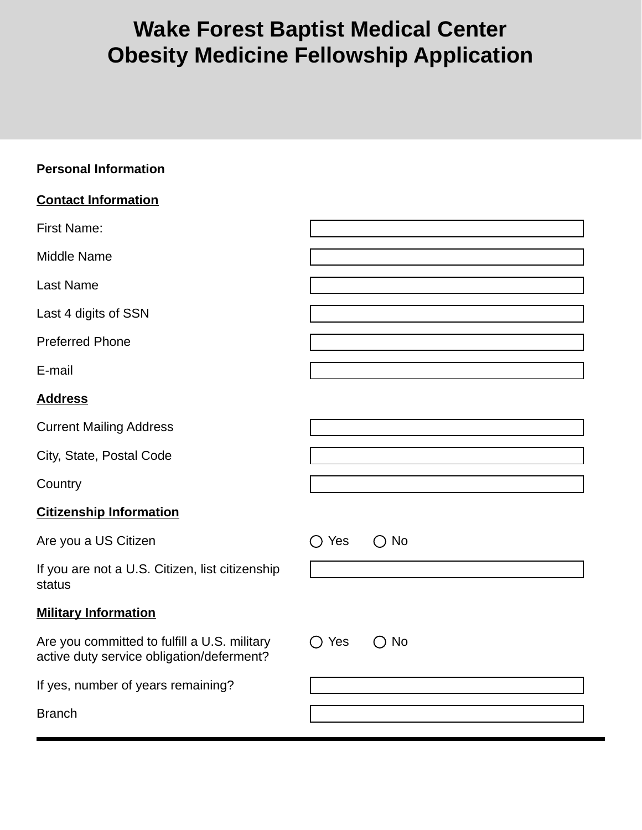# **Wake Forest Baptist Medical Center Obesity Medicine Fellowship Application**

| <b>Personal Information</b>                                                               |                      |
|-------------------------------------------------------------------------------------------|----------------------|
| <b>Contact Information</b>                                                                |                      |
| <b>First Name:</b>                                                                        |                      |
| <b>Middle Name</b>                                                                        |                      |
| <b>Last Name</b>                                                                          |                      |
| Last 4 digits of SSN                                                                      |                      |
| <b>Preferred Phone</b>                                                                    |                      |
| E-mail                                                                                    |                      |
| <b>Address</b>                                                                            |                      |
| <b>Current Mailing Address</b>                                                            |                      |
| City, State, Postal Code                                                                  |                      |
| Country                                                                                   |                      |
| <b>Citizenship Information</b>                                                            |                      |
| Are you a US Citizen                                                                      | $\bigcirc$ No<br>Yes |
| If you are not a U.S. Citizen, list citizenship<br>status                                 |                      |
| <b>Military Information</b>                                                               |                      |
| Are you committed to fulfill a U.S. military<br>active duty service obligation/deferment? | $\bigcirc$ No<br>Yes |
| If yes, number of years remaining?                                                        |                      |
| <b>Branch</b>                                                                             |                      |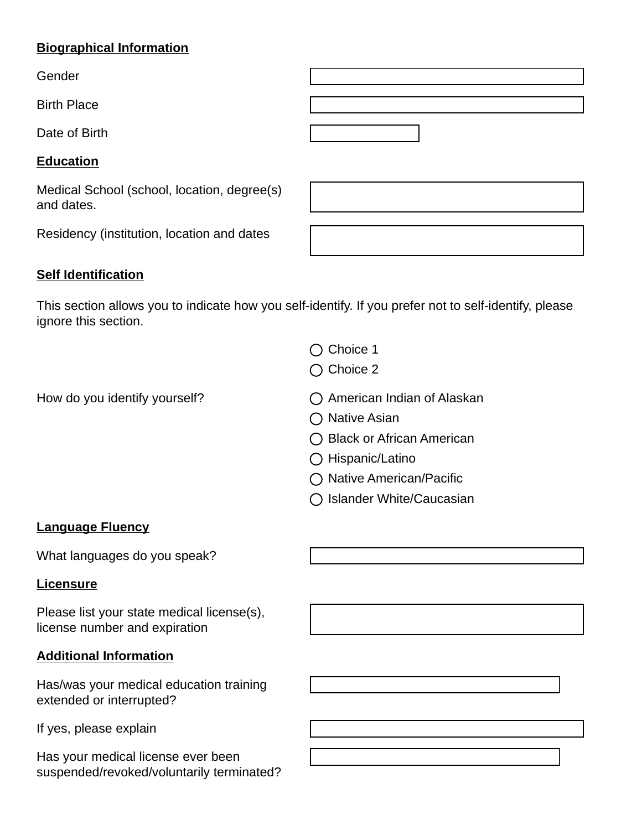#### **Biographical Information**

Gender

Birth Place

Date of Birth

#### **Education**

Medical School (school, location, degree(s) and dates.

Residency (institution, location and dates

## **Self Identification**

This section allows you to indicate how you self-identify. If you prefer not to self-identify, please ignore this section.

- $\bigcap$  Choice 1
- $\bigcap$  Choice 2
- How do you identify yourself?  $\bigcap$  American Indian of Alaskan
	- $\bigcap$  Native Asian
	- ◯ Black or African American
	- ◯ Hispanic/Latino
	- $\bigcap$  Native American/Pacific
	- $\bigcap$  Islander White/Caucasian

## **Language Fluency**

What languages do you speak?

#### **Licensure**

Please list your state medical license(s), license number and expiration

## **Additional Information**

Has/was your medical education training extended or interrupted?

If yes, please explain

Has your medical license ever been suspended/revoked/voluntarily terminated?